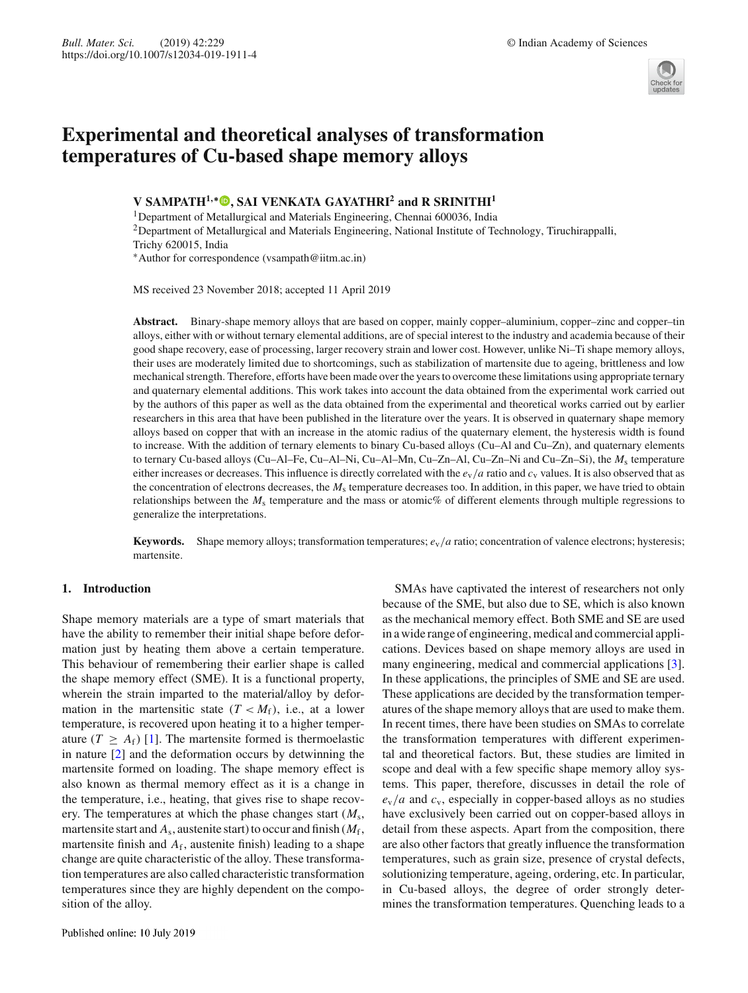# **Experimental and theoretical analyses of transformation temperatures of Cu-based shape memory alloys**

**V SAMPATH1**,<sup>∗</sup> **, SAI VENKATA GAYATHRI<sup>2</sup> and R SRINITHI<sup>1</sup>**

<sup>1</sup>Department of Metallurgical and Materials Engineering, Chennai 600036, India <sup>2</sup>Department of Metallurgical and Materials Engineering, National Institute of Technology, Tiruchirappalli, Trichy 620015, India <sup>∗</sup>Author for correspondence (vsampath@iitm.ac.in)

MS received 23 November 2018; accepted 11 April 2019

**Abstract.** Binary-shape memory alloys that are based on copper, mainly copper–aluminium, copper–zinc and copper–tin alloys, either with or without ternary elemental additions, are of special interest to the industry and academia because of their good shape recovery, ease of processing, larger recovery strain and lower cost. However, unlike Ni–Ti shape memory alloys, their uses are moderately limited due to shortcomings, such as stabilization of martensite due to ageing, brittleness and low mechanical strength. Therefore, efforts have been made over the years to overcome these limitations using appropriate ternary and quaternary elemental additions. This work takes into account the data obtained from the experimental work carried out by the authors of this paper as well as the data obtained from the experimental and theoretical works carried out by earlier researchers in this area that have been published in the literature over the years. It is observed in quaternary shape memory alloys based on copper that with an increase in the atomic radius of the quaternary element, the hysteresis width is found to increase. With the addition of ternary elements to binary Cu-based alloys (Cu–Al and Cu–Zn), and quaternary elements to ternary Cu-based alloys (Cu–Al–Fe, Cu–Al–Ni, Cu–Al–Mn, Cu–Zn–Al, Cu–Zn–Ni and Cu–Zn–Si), the *M*s temperature either increases or decreases. This influence is directly correlated with the  $e_v/a$  ratio and  $c_v$  values. It is also observed that as the concentration of electrons decreases, the *M<sub>s</sub>* temperature decreases too. In addition, in this paper, we have tried to obtain relationships between the *M*s temperature and the mass or atomic% of different elements through multiple regressions to generalize the interpretations.

**Keywords.** Shape memory alloys; transformation temperatures;  $e_V/a$  ratio; concentration of valence electrons; hysteresis; martensite.

## **1. Introduction**

Shape memory materials are a type of smart materials that have the ability to remember their initial shape before deformation just by heating them above a certain temperature. This behaviour of remembering their earlier shape is called the shape memory effect (SME). It is a functional property, wherein the strain imparted to the material/alloy by deformation in the martensitic state  $(T < M_f)$ , i.e., at a lower temperature, is recovered upon heating it to a higher temperature  $(T \geq A_f)$  [1]. The martensite formed is thermoelastic in nature [2] and the deformation occurs by detwinning the martensite formed on loading. The shape memory effect is also known as thermal memory effect as it is a change in the temperature, i.e., heating, that gives rise to shape recovery. The temperatures at which the phase changes start (*M*<sup>s</sup> , martensite start and *A*<sup>s</sup> , austenite start) to occur and finish (*M*<sup>f</sup> , martensite finish and  $A_f$ , austenite finish) leading to a shape change are quite characteristic of the alloy. These transformation temperatures are also called characteristic transformation temperatures since they are highly dependent on the composition of the alloy.

SMAs have captivated the interest of researchers not only because of the SME, but also due to SE, which is also known as the mechanical memory effect. Both SME and SE are used in a wide range of engineering, medical and commercial applications. Devices based on shape memory alloys are used in many engineering, medical and commercial applications [3]. In these applications, the principles of SME and SE are used. These applications are decided by the transformation temperatures of the shape memory alloys that are used to make them. In recent times, there have been studies on SMAs to correlate the transformation temperatures with different experimental and theoretical factors. But, these studies are limited in scope and deal with a few specific shape memory alloy systems. This paper, therefore, discusses in detail the role of  $e_v/a$  and  $c_v$ , especially in copper-based alloys as no studies have exclusively been carried out on copper-based alloys in detail from these aspects. Apart from the composition, there are also other factors that greatly influence the transformation temperatures, such as grain size, presence of crystal defects, solutionizing temperature, ageing, ordering, etc. In particular, in Cu-based alloys, the degree of order strongly determines the transformation temperatures. Quenching leads to a

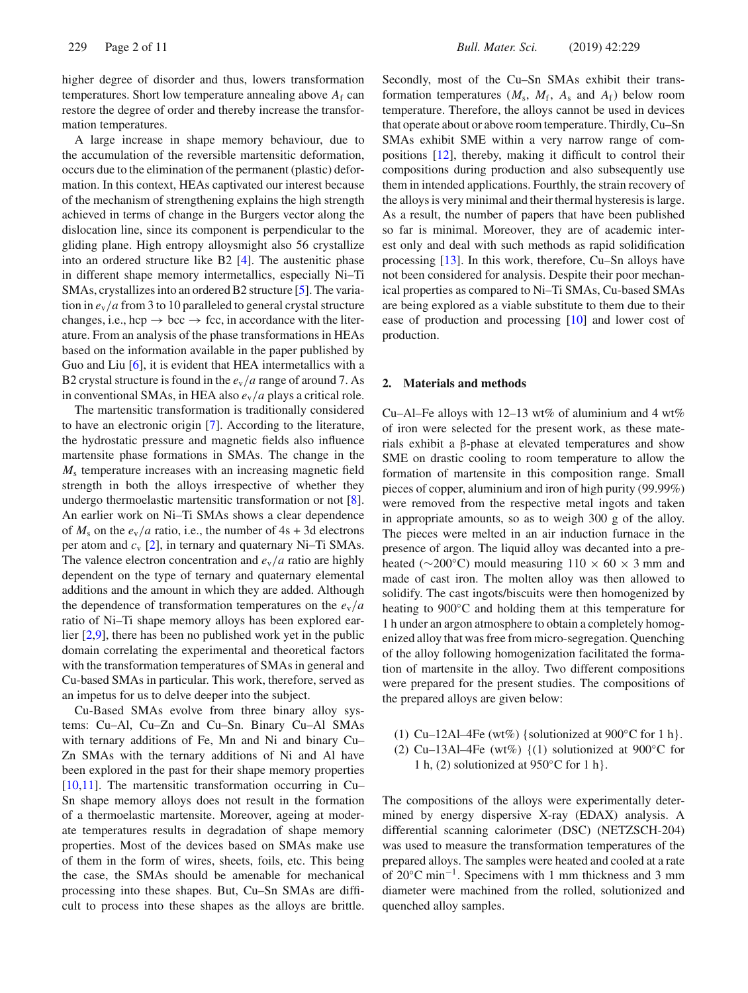higher degree of disorder and thus, lowers transformation temperatures. Short low temperature annealing above  $A_f$  can restore the degree of order and thereby increase the transformation temperatures.

A large increase in shape memory behaviour, due to the accumulation of the reversible martensitic deformation, occurs due to the elimination of the permanent (plastic) deformation. In this context, HEAs captivated our interest because of the mechanism of strengthening explains the high strength achieved in terms of change in the Burgers vector along the dislocation line, since its component is perpendicular to the gliding plane. High entropy alloysmight also 56 crystallize into an ordered structure like B2 [4]. The austenitic phase in different shape memory intermetallics, especially Ni–Ti SMAs, crystallizes into an ordered B2 structure [5]. The variation in *e*v/*a* from 3 to 10 paralleled to general crystal structure changes, i.e., hcp  $\rightarrow$  bcc  $\rightarrow$  fcc, in accordance with the literature. From an analysis of the phase transformations in HEAs based on the information available in the paper published by Guo and Liu [6], it is evident that HEA intermetallics with a B2 crystal structure is found in the  $e_v/a$  range of around 7. As in conventional SMAs, in HEA also  $e_v/a$  plays a critical role.

The martensitic transformation is traditionally considered to have an electronic origin [7]. According to the literature, the hydrostatic pressure and magnetic fields also influence martensite phase formations in SMAs. The change in the *M*<sup>s</sup> temperature increases with an increasing magnetic field strength in both the alloys irrespective of whether they undergo thermoelastic martensitic transformation or not [8]. An earlier work on Ni–Ti SMAs shows a clear dependence of  $M_s$  on the  $e_v/a$  ratio, i.e., the number of  $4s + 3d$  electrons per atom and *c*<sup>v</sup> [2], in ternary and quaternary Ni–Ti SMAs. The valence electron concentration and  $e_v/a$  ratio are highly dependent on the type of ternary and quaternary elemental additions and the amount in which they are added. Although the dependence of transformation temperatures on the  $e_y/a$ ratio of Ni–Ti shape memory alloys has been explored earlier [2,9], there has been no published work yet in the public domain correlating the experimental and theoretical factors with the transformation temperatures of SMAs in general and Cu-based SMAs in particular. This work, therefore, served as an impetus for us to delve deeper into the subject.

Cu-Based SMAs evolve from three binary alloy systems: Cu–Al, Cu–Zn and Cu–Sn. Binary Cu–Al SMAs with ternary additions of Fe, Mn and Ni and binary Cu– Zn SMAs with the ternary additions of Ni and Al have been explored in the past for their shape memory properties [10,11]. The martensitic transformation occurring in Cu– Sn shape memory alloys does not result in the formation of a thermoelastic martensite. Moreover, ageing at moderate temperatures results in degradation of shape memory properties. Most of the devices based on SMAs make use of them in the form of wires, sheets, foils, etc. This being the case, the SMAs should be amenable for mechanical processing into these shapes. But, Cu–Sn SMAs are difficult to process into these shapes as the alloys are brittle.

Secondly, most of the Cu–Sn SMAs exhibit their transformation temperatures  $(M_s, M_f, A_s$  and  $A_f$ ) below room temperature. Therefore, the alloys cannot be used in devices that operate about or above room temperature. Thirdly, Cu–Sn SMAs exhibit SME within a very narrow range of compositions [12], thereby, making it difficult to control their compositions during production and also subsequently use them in intended applications. Fourthly, the strain recovery of the alloys is very minimal and their thermal hysteresis is large. As a result, the number of papers that have been published so far is minimal. Moreover, they are of academic interest only and deal with such methods as rapid solidification processing [13]. In this work, therefore, Cu–Sn alloys have not been considered for analysis. Despite their poor mechanical properties as compared to Ni–Ti SMAs, Cu-based SMAs are being explored as a viable substitute to them due to their ease of production and processing [10] and lower cost of production.

## **2. Materials and methods**

Cu–Al–Fe alloys with 12–13 wt% of aluminium and 4 wt% of iron were selected for the present work, as these materials exhibit a β-phase at elevated temperatures and show SME on drastic cooling to room temperature to allow the formation of martensite in this composition range. Small pieces of copper, aluminium and iron of high purity (99.99%) were removed from the respective metal ingots and taken in appropriate amounts, so as to weigh 300 g of the alloy. The pieces were melted in an air induction furnace in the presence of argon. The liquid alloy was decanted into a preheated ( $\sim$ 200°C) mould measuring 110 × 60 × 3 mm and made of cast iron. The molten alloy was then allowed to solidify. The cast ingots/biscuits were then homogenized by heating to 900℃ and holding them at this temperature for 1 h under an argon atmosphere to obtain a completely homogenized alloy that was free from micro-segregation. Quenching of the alloy following homogenization facilitated the formation of martensite in the alloy. Two different compositions were prepared for the present studies. The compositions of the prepared alloys are given below:

(1) Cu–12Al–4Fe (wt%) {solutionized at  $900^{\circ}$ C for 1 h}. (2) Cu–13Al–4Fe (wt%) {(1) solutionized at 900 $^{\circ}$ C for 1 h, (2) solutionized at 950◦C for 1 h}.

The compositions of the alloys were experimentally determined by energy dispersive X-ray (EDAX) analysis. A differential scanning calorimeter (DSC) (NETZSCH-204) was used to measure the transformation temperatures of the prepared alloys. The samples were heated and cooled at a rate of 20◦C min<sup>−</sup><sup>1</sup> . Specimens with 1 mm thickness and 3 mm diameter were machined from the rolled, solutionized and quenched alloy samples.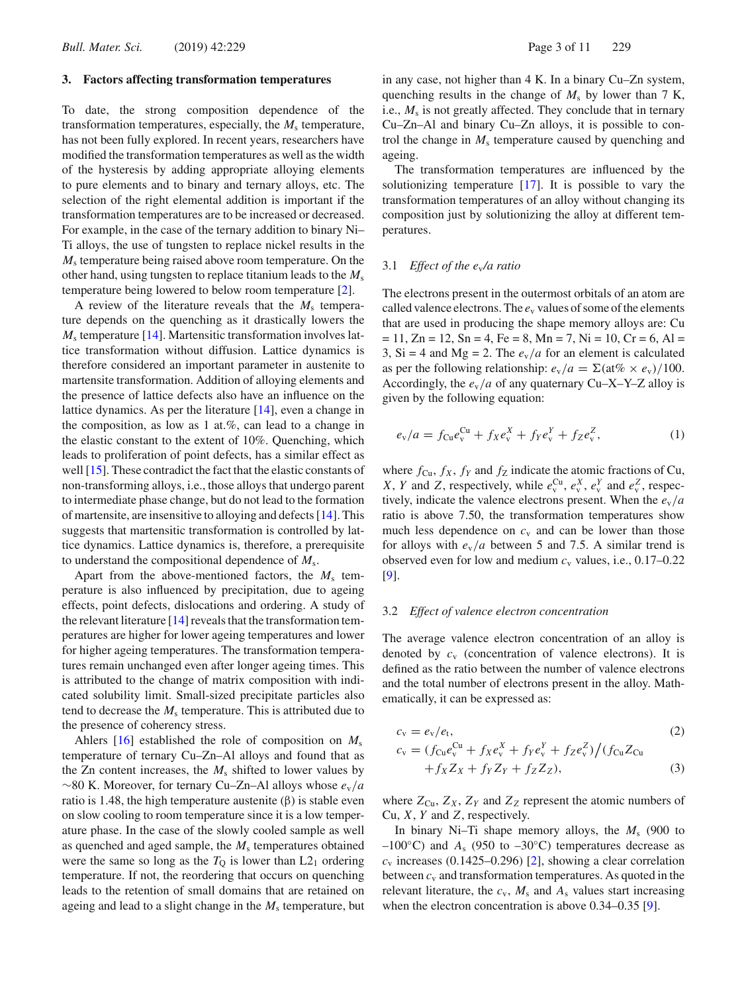#### **3. Factors affecting transformation temperatures**

To date, the strong composition dependence of the transformation temperatures, especially, the  $M_s$  temperature, has not been fully explored. In recent years, researchers have modified the transformation temperatures as well as the width of the hysteresis by adding appropriate alloying elements to pure elements and to binary and ternary alloys, etc. The selection of the right elemental addition is important if the transformation temperatures are to be increased or decreased. For example, in the case of the ternary addition to binary Ni– Ti alloys, the use of tungsten to replace nickel results in the *M*<sup>s</sup> temperature being raised above room temperature. On the other hand, using tungsten to replace titanium leads to the *M*<sup>s</sup> temperature being lowered to below room temperature [2].

A review of the literature reveals that the  $M_s$  temperature depends on the quenching as it drastically lowers the *M*<sup>s</sup> temperature [14]. Martensitic transformation involves lattice transformation without diffusion. Lattice dynamics is therefore considered an important parameter in austenite to martensite transformation. Addition of alloying elements and the presence of lattice defects also have an influence on the lattice dynamics. As per the literature [14], even a change in the composition, as low as  $1$  at.%, can lead to a change in the elastic constant to the extent of 10%. Quenching, which leads to proliferation of point defects, has a similar effect as well [15]. These contradict the fact that the elastic constants of non-transforming alloys, i.e., those alloys that undergo parent to intermediate phase change, but do not lead to the formation of martensite, are insensitive to alloying and defects [14]. This suggests that martensitic transformation is controlled by lattice dynamics. Lattice dynamics is, therefore, a prerequisite to understand the compositional dependence of *M*<sup>s</sup> .

Apart from the above-mentioned factors, the  $M_s$  temperature is also influenced by precipitation, due to ageing effects, point defects, dislocations and ordering. A study of the relevant literature  $[14]$  reveals that the transformation temperatures are higher for lower ageing temperatures and lower for higher ageing temperatures. The transformation temperatures remain unchanged even after longer ageing times. This is attributed to the change of matrix composition with indicated solubility limit. Small-sized precipitate particles also tend to decrease the  $M_s$  temperature. This is attributed due to the presence of coherency stress.

Ahlers [16] established the role of composition on *M*<sup>s</sup> temperature of ternary Cu–Zn–Al alloys and found that as the Zn content increases, the  $M_s$  shifted to lower values by ∼80 K. Moreover, for ternary Cu–Zn–Al alloys whose *e*v/*a* ratio is 1.48, the high temperature austenite (β) is stable even on slow cooling to room temperature since it is a low temperature phase. In the case of the slowly cooled sample as well as quenched and aged sample, the *M*<sup>s</sup> temperatures obtained were the same so long as the  $T_Q$  is lower than  $L2_1$  ordering temperature. If not, the reordering that occurs on quenching leads to the retention of small domains that are retained on ageing and lead to a slight change in the *M*<sup>s</sup> temperature, but

in any case, not higher than 4 K. In a binary Cu–Zn system, quenching results in the change of  $M<sub>s</sub>$  by lower than 7 K, i.e., *M*<sup>s</sup> is not greatly affected. They conclude that in ternary Cu–Zn–Al and binary Cu–Zn alloys, it is possible to control the change in  $M_s$  temperature caused by quenching and ageing.

The transformation temperatures are influenced by the solutionizing temperature [17]. It is possible to vary the transformation temperatures of an alloy without changing its composition just by solutionizing the alloy at different temperatures.

#### 3.1 *Effect of the e*v*/a ratio*

The electrons present in the outermost orbitals of an atom are called valence electrons. The *e*<sup>v</sup> values of some of the elements that are used in producing the shape memory alloys are: Cu  $= 11$ , Zn = 12, Sn = 4, Fe = 8, Mn = 7, Ni = 10, Cr = 6, Al = 3, Si = 4 and Mg = 2. The  $e_v/a$  for an element is calculated as per the following relationship:  $e_v/a = \Sigma (at\% \times e_v)/100$ . Accordingly, the  $e_y/a$  of any quaternary Cu–X–Y–Z alloy is given by the following equation:

$$
e_{v}/a = f_{Cu}e_{v}^{Cu} + f_{X}e_{v}^{X} + f_{Y}e_{v}^{Y} + f_{Z}e_{v}^{Z},
$$
\n(1)

where  $f_{\text{Cu}}$ ,  $f_X$ ,  $f_Y$  and  $f_Z$  indicate the atomic fractions of Cu, *X*, *Y* and *Z*, respectively, while  $e_v^{\text{Cu}}$ ,  $e_v^X$ ,  $e_v^Y$  and  $e_v^Z$ , respectively, indicate the valence electrons present. When the  $e_y/a$ ratio is above 7.50, the transformation temperatures show much less dependence on  $c_v$  and can be lower than those for alloys with  $e_v/a$  between 5 and 7.5. A similar trend is observed even for low and medium  $c_v$  values, i.e., 0.17–0.22 [9].

#### 3.2 *Effect of valence electron concentration*

The average valence electron concentration of an alloy is denoted by *c*<sup>v</sup> (concentration of valence electrons). It is defined as the ratio between the number of valence electrons and the total number of electrons present in the alloy. Mathematically, it can be expressed as:

$$
c_{v} = e_{v}/e_{t},
$$
  
\n
$$
c_{v} = (f_{Cu}e_{v}^{Cu} + f_{X}e_{v}^{X} + f_{Y}e_{v}^{Y} + f_{Z}e_{v}^{Z})/(f_{Cu}Z_{Cu} + f_{X}Z_{X} + f_{Y}Z_{Y} + f_{Z}Z_{Z}),
$$
\n(3)

where  $Z_{Cu}$ ,  $Z_X$ ,  $Z_Y$  and  $Z_Z$  represent the atomic numbers of Cu, *X*, *Y* and *Z*, respectively.

In binary Ni–Ti shape memory alloys, the *M*<sup>s</sup> (900 to –100 $\degree$ C) and  $A_s$  (950 to –30 $\degree$ C) temperatures decrease as  $c_v$  increases (0.1425–0.296) [2], showing a clear correlation between  $c_v$  and transformation temperatures. As quoted in the relevant literature, the  $c_v$ ,  $M_s$  and  $A_s$  values start increasing when the electron concentration is above 0.34–0.35 [9].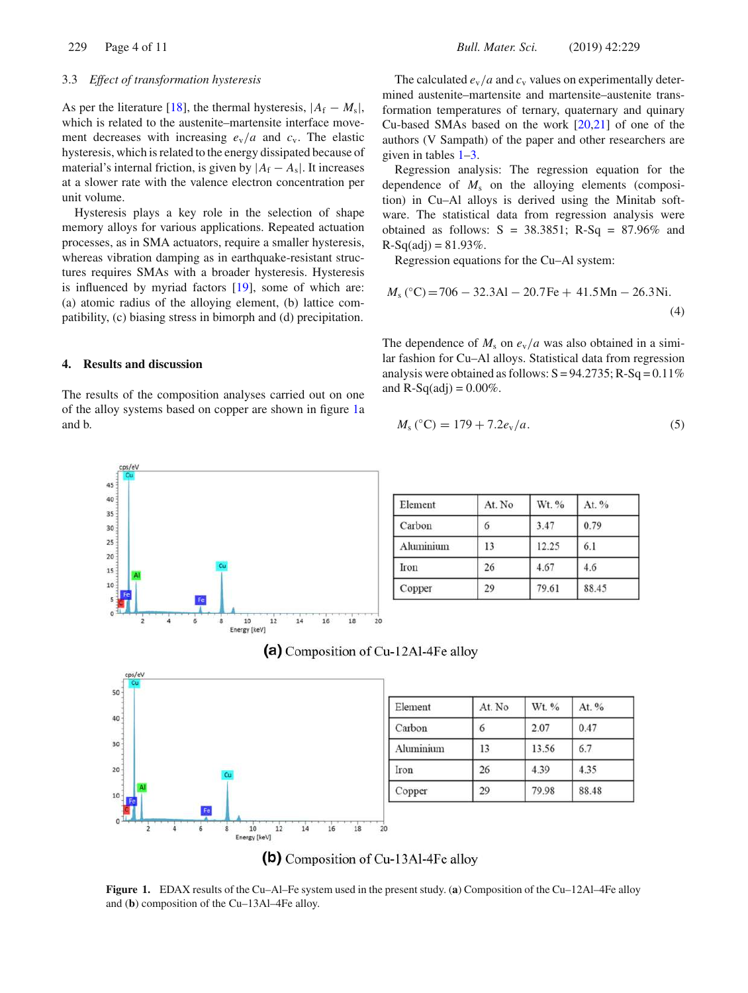#### 3.3 *Effect of transformation hysteresis*

As per the literature [18], the thermal hysteresis,  $|A_f - M_s|$ , which is related to the austenite–martensite interface movement decreases with increasing  $e_v/a$  and  $c_v$ . The elastic hysteresis, which is related to the energy dissipated because of material's internal friction, is given by  $|A_f - A_s|$ . It increases at a slower rate with the valence electron concentration per unit volume.

Hysteresis plays a key role in the selection of shape memory alloys for various applications. Repeated actuation processes, as in SMA actuators, require a smaller hysteresis, whereas vibration damping as in earthquake-resistant structures requires SMAs with a broader hysteresis. Hysteresis is influenced by myriad factors [19], some of which are: (a) atomic radius of the alloying element, (b) lattice compatibility, (c) biasing stress in bimorph and (d) precipitation.

#### **4. Results and discussion**

The results of the composition analyses carried out on one of the alloy systems based on copper are shown in figure 1a and b.

The calculated  $e_v/a$  and  $c_v$  values on experimentally determined austenite–martensite and martensite–austenite transformation temperatures of ternary, quaternary and quinary Cu-based SMAs based on the work [20,21] of one of the authors (V Sampath) of the paper and other researchers are given in tables 1–3.

Regression analysis: The regression equation for the dependence of  $M_s$  on the alloying elements (composition) in Cu–Al alloys is derived using the Minitab software. The statistical data from regression analysis were obtained as follows:  $S = 38.3851$ ; R-Sq = 87.96% and  $R-Sq(adj) = 81.93\%$ .

Regression equations for the Cu–Al system:

$$
M_s(^{\circ}\text{C}) = 706 - 32.3\text{Al} - 20.7\text{Fe} + 41.5\text{Mn} - 26.3\text{Ni}.
$$
\n(4)

The dependence of  $M_s$  on  $e_v/a$  was also obtained in a similar fashion for Cu–Al alloys. Statistical data from regression analysis were obtained as follows:  $S = 94.2735$ ; R-Sq = 0.11% and  $R-Sq(adj) = 0.00\%$ .

$$
M_{\rm s}({}^{\circ}{\rm C}) = 179 + 7.2e_{\rm v}/a. \tag{5}
$$



| Element   | At. No | Wt. % | At. % |
|-----------|--------|-------|-------|
| Carbon    | 6      | 3.47  | 0.79  |
| Aluminium | 13     | 12.25 | 6.1   |
| Iron      | 26     | 4.67  | 4.6   |
| Copper    | 29     | 79.61 | 88.45 |

# (a) Composition of Cu-12Al-4Fe alloy



| Element   | At. No | Wt. % | At. % |
|-----------|--------|-------|-------|
| Carbon    | 6      | 2.07  | 0.47  |
| Aluminium | 13     | 13.56 | 6.7   |
| Iron      | 26     | 4.39  | 4.35  |
| Copper    | 29     | 79.98 | 88.48 |



**Figure 1.** EDAX results of the Cu–Al–Fe system used in the present study. (**a**) Composition of the Cu–12Al–4Fe alloy and (**b**) composition of the Cu–13Al–4Fe alloy.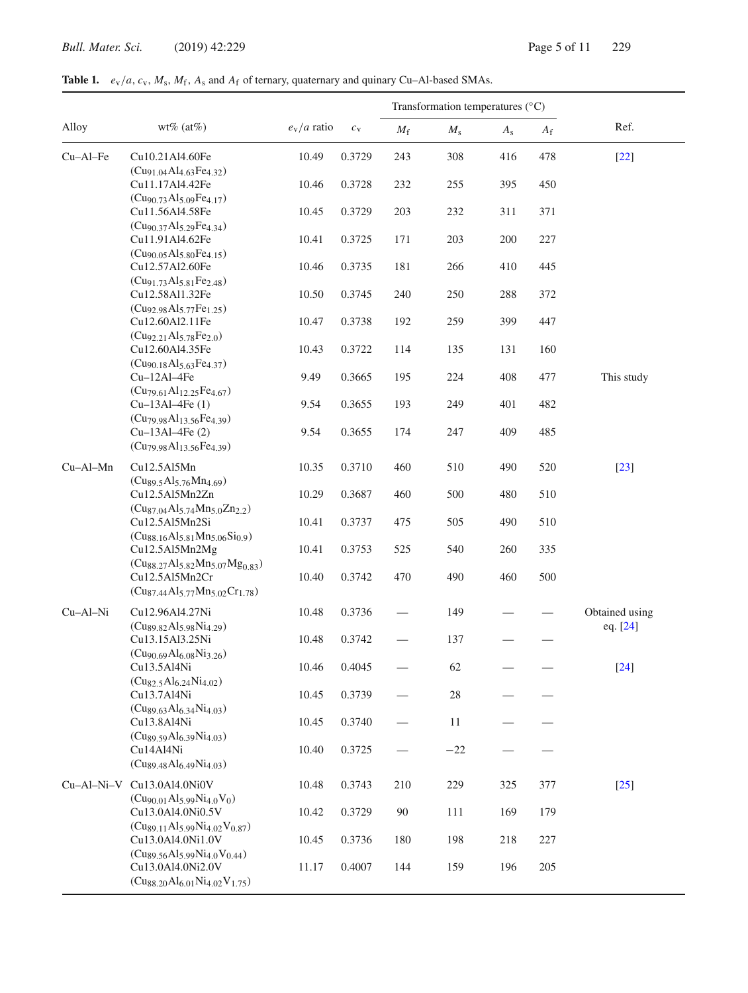**Table 1.** *e*v/*a*, *c*v, *M*s, *M*f , *A*s and *A*f of ternary, quaternary and quinary Cu–Al-based SMAs.

|          |                                                                                                          |                 |             | Transformation temperatures (°C) |             |             |             |                |  |
|----------|----------------------------------------------------------------------------------------------------------|-----------------|-------------|----------------------------------|-------------|-------------|-------------|----------------|--|
| Alloy    | $wt\%$ (at%)                                                                                             | $e_{v}/a$ ratio | $c_{\rm v}$ | $M_{\rm f}$                      | $M_{\rm s}$ | $A_{\rm s}$ | $A_{\rm f}$ | Ref.           |  |
| Cu-Al-Fe | Cu10.21Al4.60Fe                                                                                          | 10.49           | 0.3729      | 243                              | 308         | 416         | 478         | $[22]$         |  |
|          | $(Cu_{91.04}Al_{4.63}Fe_{4.32})$<br>Cu11.17Al4.42Fe                                                      | 10.46           | 0.3728      | 232                              | 255         | 395         | 450         |                |  |
|          | $(Cu_{90.73}Al_{5.09}Fe_{4.17})$<br>Cu11.56Al4.58Fe                                                      | 10.45           | 0.3729      | 203                              | 232         | 311         | 371         |                |  |
|          | $(Cu_{90.37}Al_{5.29}Fe_{4.34})$<br>Cu11.91Al4.62Fe                                                      | 10.41           | 0.3725      | 171                              | 203         | 200         | 227         |                |  |
|          | $(Cu_{90.05}Al_{5.80}Fe_{4.15})$<br>Cu12.57Al2.60Fe                                                      | 10.46           | 0.3735      | 181                              | 266         | 410         | 445         |                |  |
|          | $(Cu_{91.73}Al_{5.81}Fe_{2.48})$<br>Cu12.58Al1.32Fe                                                      | 10.50           | 0.3745      | 240                              | 250         | 288         | 372         |                |  |
|          | (Cu92.98Al5.77Fe1.25)<br>Cu12.60Al2.11Fe                                                                 | 10.47           | 0.3738      | 192                              | 259         | 399         | 447         |                |  |
|          | $(Cu_{92.21}Al_{5.78}Fe_{2.0})$<br>Cu12.60Al4.35Fe                                                       | 10.43           | 0.3722      | 114                              | 135         | 131         | 160         |                |  |
|          | $(Cu_{90.18}Al_{5.63}Fe_{4.37})$<br>$Cu-12Al-4Fe$                                                        | 9.49            | 0.3665      | 195                              | 224         | 408         | 477         | This study     |  |
|          | $(Cu_{79.61}Al_{12.25}Fe_{4.67})$<br>$Cu-13Al-4Fe(1)$                                                    | 9.54            | 0.3655      | 193                              | 249         | 401         | 482         |                |  |
|          | $(Cu_{79.98}Al_{13.56}Fe_{4.39})$<br>$Cu-13Al-4Fe(2)$<br>$(Cu_{79.98}Al_{13.56}Fe_{4.39})$               | 9.54            | 0.3655      | 174                              | 247         | 409         | 485         |                |  |
| Cu–Al–Mn | Cu12.5Al5Mn                                                                                              | 10.35           | 0.3710      | 460                              | 510         | 490         | 520         | $[23]$         |  |
|          | $(Cu_{89.5}Al_{5.76}Mn_{4.69})$<br>Cu12.5Al5Mn2Zn                                                        | 10.29           | 0.3687      | 460                              | 500         | 480         | 510         |                |  |
|          | $(Cu_{87.04}Al_{5.74}Mn_{5.0}Zn_{2.2})$<br>Cu12.5Al5Mn2Si                                                | 10.41           | 0.3737      | 475                              | 505         | 490         | 510         |                |  |
|          | $(Cu_{88.16}Al_{5.81}Mn_{5.06}Si_{0.9})$<br>Cu12.5Al5Mn2Mg                                               | 10.41           | 0.3753      | 525                              | 540         | 260         | 335         |                |  |
|          | $(Cu_{88.27}Al_{5.82}Mn_{5.07}Mg_{0.83})$<br>Cu12.5Al5Mn2Cr<br>$(Cu_{87.44}Al_{5.77}Mn_{5.02}Cr_{1.78})$ | 10.40           | 0.3742      | 470                              | 490         | 460         | 500         |                |  |
| Cu-Al-Ni | Cu12.96Al4.27Ni                                                                                          | 10.48           | 0.3736      |                                  | 149         |             |             | Obtained using |  |
|          | $(Cu_{89.82}Al_{5.98}Ni_{4.29})$<br>Cu13.15Al3.25Ni<br>$(Cu_{90.69}Al_{6.08}Ni_{3.26})$                  | 10.48           | 0.3742      |                                  | 137         |             |             | eq. [24]       |  |
|          | Cu13.5Al4Ni                                                                                              | 10.46           | 0.4045      |                                  | 62          |             |             | $[24]$         |  |
|          | $(Cu_{82.5}Al_{6.24}Ni_{4.02})$<br>Cu13.7Al4Ni                                                           | 10.45           | 0.3739      |                                  | $28\,$      |             |             |                |  |
|          | $(Cu_{89.63}Al_{6.34}Ni_{4.03})$<br>Cu13.8Al4Ni                                                          | 10.45           | 0.3740      |                                  | 11          |             |             |                |  |
|          | $(Cu_{89.59}Al_{6.39}Ni_{4.03})$<br>Cu14Al4Ni<br>$(Cu_{89.48}Al_{6.49}Ni_{4.03})$                        | 10.40           | 0.3725      |                                  | $-22$       |             |             |                |  |
|          | Cu-Al-Ni-V Cu13.0Al4.0Ni0V                                                                               | 10.48           | 0.3743      | 210                              | 229         | 325         | 377         | $[25]$         |  |
|          | $(Cu_{90.01}Al_{5.99}Ni_{4.0}V_0)$<br>Cu13.0Al4.0Ni0.5V                                                  | 10.42           | 0.3729      | 90                               | 111         | 169         | 179         |                |  |
|          | $(Cu_{89.11}Al_{5.99}Ni_{4.02}V_{0.87})$<br>Cu13.0Al4.0Ni1.0V<br>$(Cu_{89.56}Al_{5.99}Ni_{4.0}V_{0.44})$ | 10.45           | 0.3736      | 180                              | 198         | 218         | 227         |                |  |
|          | Cu13.0Al4.0Ni2.0V<br>$(Cu_{88.20}Al_{6.01}Ni_{4.02}V_{1.75})$                                            | 11.17           | 0.4007      | 144                              | 159         | 196         | 205         |                |  |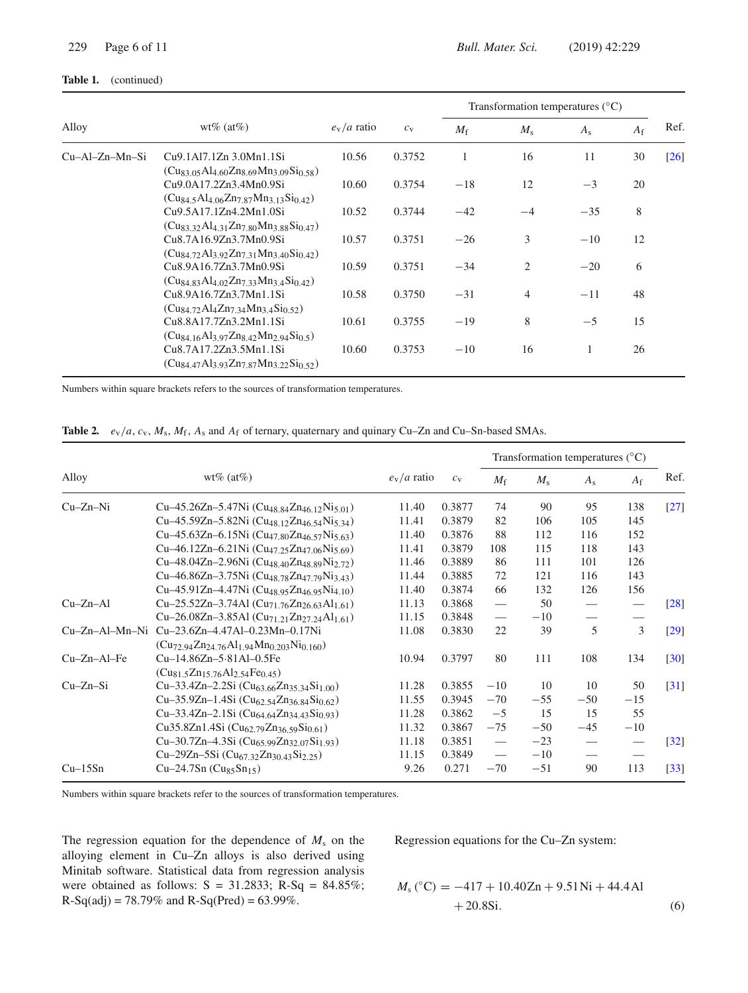|                |                                                                                                  |                 |             | Transformation temperatures $(^{\circ}C)$ |                |             |             |      |
|----------------|--------------------------------------------------------------------------------------------------|-----------------|-------------|-------------------------------------------|----------------|-------------|-------------|------|
| Alloy          | $wt\%$ (at $\%$ )                                                                                | $e_{v}/a$ ratio | $c_{\rm v}$ | $M_{\rm f}$                               | $M_{\rm s}$    | $A_{\rm s}$ | $A_{\rm f}$ | Ref  |
| Cu–Al–Zn–Mn–Si | Cu9.1Al7.1Zn 3.0Mn1.1Si                                                                          | 10.56           | 0.3752      | 1                                         | 16             | 11          | 30          | [26] |
|                | $(Cu_{83.05}Al_{4.60}Zn_{8.69}Mn_{3.09}Si_{0.58})$<br>Cu9.0A17.2Zn3.4Mn0.9Si                     | 10.60           | 0.3754      | $-18$                                     | 12             | $-3$        | 20          |      |
|                | $(Cu_{84} 5Al_{4.06} Zn_{7.87} Mn_{3.13} Si_{0.42})$<br>Cu9.5A17.1Zn4.2Mn1.0Si                   | 10.52           | 0.3744      | $-42$                                     | $-4$           | $-35$       | 8           |      |
|                | $(Cu_{83,32}Al_{4,31}Zn_{7,80}Mn_{3,88}Si_{0,47})$<br>Cu8.7A16.9Zn3.7Mn0.9Si                     | 10.57           | 0.3751      | $-26$                                     | 3              | $-10$       | 12          |      |
|                | $(Cu_{84.72}Al_{3.92}Zn_{7.31}Mn_{3.40}Si_{0.42})$<br>Cu8.9A16.7Zn3.7Mn0.9Si                     | 10.59           | 0.3751      | $-34$                                     | 2              | $-20$       | 6           |      |
|                | $(Cu_{8483}Al_{402}Zn_{733}Mn_{34}Si_{042})$<br>Cu8.9A16.7Zn3.7Mn1.1Si                           | 10.58           | 0.3750      | $-31$                                     | $\overline{4}$ | $-11$       | 48          |      |
|                | $(Cu_{84} 72 \text{Al}_4 \text{Z} n7 34 \text{M} n3 4 \text{Si}_0 52)$<br>Cu8.8A17.7Zn3.2Mn1.1Si | 10.61           | 0.3755      | $-19$                                     | 8              | $-5$        | 15          |      |
|                | $(Cu_{84,16}Al_3\,97Zn_{8,42}Mn_{2,94}Si_0\,5)$<br>Cu8.7A17.2Zn3.5Mn1.1Si                        | 10.60           | 0.3753      | $-10$                                     | 16             | 1           | 26          |      |
|                | $(Cu_{84.47}Al_3$ 93 $Zn_7$ 87 $Mn_3$ 22 $Si_0$ 52)                                              |                 |             |                                           |                |             |             |      |

# Table 1. (continued)

Numbers within square brackets refers to the sources of transformation temperatures.

| <b>Table 2.</b> $e_v/a$ , $c_v$ , $M_s$ , $M_f$ , $A_s$ and $A_f$ of ternary, quaternary and quinary Cu–Zn and Cu–Sn-based SMAs. |  |
|----------------------------------------------------------------------------------------------------------------------------------|--|
|----------------------------------------------------------------------------------------------------------------------------------|--|

|               |                                                                                 |                 |         | Transformation temperatures $(^{\circ}C)$ |             |             |                                 |                               |
|---------------|---------------------------------------------------------------------------------|-----------------|---------|-------------------------------------------|-------------|-------------|---------------------------------|-------------------------------|
| Alloy         | $wt\%$ (at $\%$ )                                                               | $e_{v}/a$ ratio | $c_{v}$ | $M_{\rm f}$                               | $M_{\rm s}$ | $A_{\rm s}$ | $A_{\rm f}$                     | Ref.                          |
| $Cu-Zn-Ni$    | Cu-45.26Zn-5.47Ni (Cu <sub>48.84</sub> Zn <sub>46.12</sub> Ni <sub>5.01</sub> ) | 11.40           | 0.3877  | 74                                        | 90          | 95          | 138                             | $\left\lceil 27 \right\rceil$ |
|               | Cu-45.59Zn-5.82Ni (Cu <sub>48,12</sub> Zn <sub>46,54</sub> Ni <sub>5</sub> 34)  | 11.41           | 0.3879  | 82                                        | 106         | 105         | 145                             |                               |
|               | Cu-45.63Zn-6.15Ni (Cu <sub>47.80</sub> Zn <sub>46.57</sub> Ni <sub>5.63</sub> ) | 11.40           | 0.3876  | 88                                        | 112         | 116         | 152                             |                               |
|               | Cu-46.12Zn-6.21Ni (Cu <sub>47.25</sub> Zn <sub>47.06</sub> Ni <sub>5.69</sub> ) | 11.41           | 0.3879  | 108                                       | 115         | 118         | 143                             |                               |
|               | Cu-48.04Zn-2.96Ni (Cu <sub>48.40</sub> Zn <sub>48.89</sub> Ni <sub>2.72</sub> ) | 11.46           | 0.3889  | 86                                        | 111         | 101         | 126                             |                               |
|               | Cu-46.86Zn-3.75Ni (Cu <sub>48.78</sub> Zn <sub>47.79</sub> Ni <sub>3.43</sub> ) | 11.44           | 0.3885  | 72                                        | 121         | 116         | 143                             |                               |
|               | Cu-45.91Zn-4.47Ni (Cu <sub>48.95</sub> Zn <sub>46.95</sub> Ni <sub>4.10</sub> ) | 11.40           | 0.3874  | 66                                        | 132         | 126         | 156                             |                               |
| $Cu-Zn-A1$    | Cu-25.52Zn-3.74Al (Cu <sub>71.76</sub> Zn <sub>26.63</sub> Al <sub>1.61</sub> ) | 11.13           | 0.3868  | $\frac{1}{1}$                             | 50          |             |                                 | $[28]$                        |
|               | Cu-26.08Zn-3.85Al $(Cu_{71.21}Zn_{27.24}Al_{1.61})$                             | 11.15           | 0.3848  | $\overline{\phantom{m}}$                  | $-10$       |             |                                 |                               |
|               | Cu-Zn-Al-Mn-Ni Cu-23.6Zn-4.47Al-0.23Mn-0.17Ni                                   | 11.08           | 0.3830  | 22                                        | 39          | 5           | 3                               | $[29]$                        |
|               | $(Cu_{72.94}Zn_{24.76}Al_{1.94}Mn_{0.203}Ni_{0.160})$                           |                 |         |                                           |             |             |                                 |                               |
| $Cu-Zn-Al-Fe$ | $Cu-14.86Zn-5.81Al-0.5Fe$                                                       | 10.94           | 0.3797  | 80                                        | 111         | 108         | 134                             | [30]                          |
|               | $(Cu_{81.5}Zn_{15.76}Al_{2.54}Fe_{0.45})$                                       |                 |         |                                           |             |             |                                 |                               |
| $Cu-Zn-Si$    | Cu-33.4Zn-2.2Si (Cu <sub>63.66</sub> Zn <sub>35.34</sub> Si <sub>1.00</sub> )   | 11.28           | 0.3855  | $-10$                                     | 10          | 10          | 50                              | $\lceil 31 \rceil$            |
|               | Cu-35.9Zn-1.4Si (Cu <sub>62.54</sub> Zn <sub>36.84</sub> Si <sub>0.62</sub> )   | 11.55           | 0.3945  | $-70$                                     | $-55$       | $-50$       | $-15$                           |                               |
|               | Cu-33.4Zn-2.1Si (Cu <sub>64.64</sub> Zn <sub>34.43</sub> Si <sub>0.93</sub> )   | 11.28           | 0.3862  | $-5$                                      | 15          | 15          | 55                              |                               |
|               | Cu35.8Zn1.4Si (Cu <sub>62.79</sub> Zn <sub>36.59</sub> Si <sub>0.61</sub> )     | 11.32           | 0.3867  | $-75$                                     | $-50$       | $-45$       | $-10$                           |                               |
|               | Cu-30.7Zn-4.3Si (Cu <sub>65.99</sub> Zn <sub>32.07</sub> Si <sub>1.93</sub> )   | 11.18           | 0.3851  | $\overline{\phantom{m}}$                  | $-23$       |             | $\hspace{0.1mm}-\hspace{0.1mm}$ | $[32]$                        |
|               | Cu-29Zn-5Si (Cu <sub>67.32</sub> Zn <sub>30.43</sub> Si <sub>2.25</sub> )       | 11.15           | 0.3849  | $\overline{\phantom{m}}$                  | $-10$       |             |                                 |                               |
| $Cu-15Sn$     | Cu-24.7Sn $(Cu_{85}Sn_{15})$                                                    | 9.26            | 0.271   | $-70$                                     | $-51$       | 90          | 113                             | $\lceil 33 \rceil$            |

Numbers within square brackets refer to the sources of transformation temperatures.

The regression equation for the dependence of  $M<sub>s</sub>$  on the alloying element in Cu–Zn alloys is also derived using Minitab software. Statistical data from regression analysis were obtained as follows:  $S = 31.2833$ ; R-Sq = 84.85%;  $R-Sq(adj) = 78.79\%$  and  $R-Sq(Pred) = 63.99\%.$ 

Regression equations for the Cu–Zn system:

$$
Ms (°C) = -417 + 10.40Zn + 9.51Ni + 44.4Al + 20.8Si.
$$
 (6)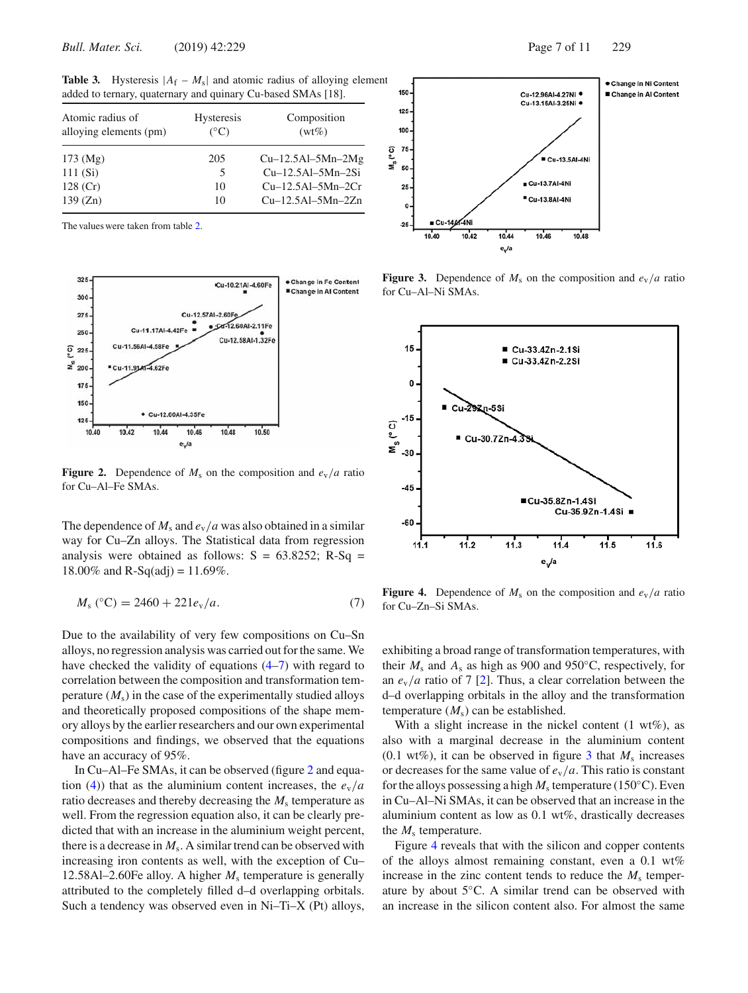**Table 3.** Hysteresis  $|A_f - M_s|$  and atomic radius of alloying element added to ternary, quaternary and quinary Cu-based SMAs [18].

| Atomic radius of<br>alloying elements (pm) | <b>Hysteresis</b><br>$(^{\circ}C)$ | Composition<br>$(wt\%)$ |
|--------------------------------------------|------------------------------------|-------------------------|
| $173 \,(Mg)$                               | 205                                | $Cu-12.5Al-5Mn-2Mg$     |
| 111(Si)                                    | 5                                  | $Cu-12.5Al-5Mn-2Si$     |
| $128$ (Cr)                                 | 10                                 | $Cu-12.5Al-5Mn-2Cr$     |
| 139 (Zn)                                   | 10                                 | $Cu-12.5Al-5Mn-2Zn$     |

The values were taken from table 2.



**Figure 2.** Dependence of  $M_s$  on the composition and  $e_V/a$  ratio for Cu–Al–Fe SMAs.

The dependence of  $M_s$  and  $e_v/a$  was also obtained in a similar way for Cu–Zn alloys. The Statistical data from regression analysis were obtained as follows:  $S = 63.8252$ ; R-Sq = 18.00% and R-Sq(adj) =  $11.69\%$ .

$$
M_{\rm s}({}^{\circ}{\rm C}) = 2460 + 221e_{\rm v}/a. \tag{7}
$$

Due to the availability of very few compositions on Cu–Sn alloys, no regression analysis was carried out for the same. We have checked the validity of equations (4–7) with regard to correlation between the composition and transformation temperature  $(M<sub>s</sub>)$  in the case of the experimentally studied alloys and theoretically proposed compositions of the shape memory alloys by the earlier researchers and our own experimental compositions and findings, we observed that the equations have an accuracy of 95%.

In Cu–Al–Fe SMAs, it can be observed (figure 2 and equation (4)) that as the aluminium content increases, the  $e_y/a$ ratio decreases and thereby decreasing the *M*<sup>s</sup> temperature as well. From the regression equation also, it can be clearly predicted that with an increase in the aluminium weight percent, there is a decrease in  $M_s$ . A similar trend can be observed with increasing iron contents as well, with the exception of Cu– 12.58Al–2.60Fe alloy. A higher *M*<sup>s</sup> temperature is generally attributed to the completely filled d–d overlapping orbitals. Such a tendency was observed even in Ni–Ti–X (Pt) alloys,



**Figure 3.** Dependence of  $M_s$  on the composition and  $e_v/a$  ratio for Cu–Al–Ni SMAs.

 $e_v$ /a



**Figure 4.** Dependence of  $M_s$  on the composition and  $e_v/a$  ratio for Cu–Zn–Si SMAs.

exhibiting a broad range of transformation temperatures, with their  $M_s$  and  $A_s$  as high as 900 and 950<sup>°</sup>C, respectively, for an  $e_y/a$  ratio of 7 [2]. Thus, a clear correlation between the d–d overlapping orbitals in the alloy and the transformation temperature  $(M<sub>s</sub>)$  can be established.

With a slight increase in the nickel content  $(1 \text{ wt\%})$ , as also with a marginal decrease in the aluminium content  $(0.1 \text{ wt\%})$ , it can be observed in figure 3 that  $M_s$  increases or decreases for the same value of  $e_v/a$ . This ratio is constant for the alloys possessing a high  $M_s$  temperature (150 $°C$ ). Even in Cu–Al–Ni SMAs, it can be observed that an increase in the aluminium content as low as 0.1 wt%, drastically decreases the  $M<sub>s</sub>$  temperature.

Figure 4 reveals that with the silicon and copper contents of the alloys almost remaining constant, even a  $0.1 \text{ wt\%}$ increase in the zinc content tends to reduce the  $M_s$  temperature by about 5◦C. A similar trend can be observed with an increase in the silicon content also. For almost the same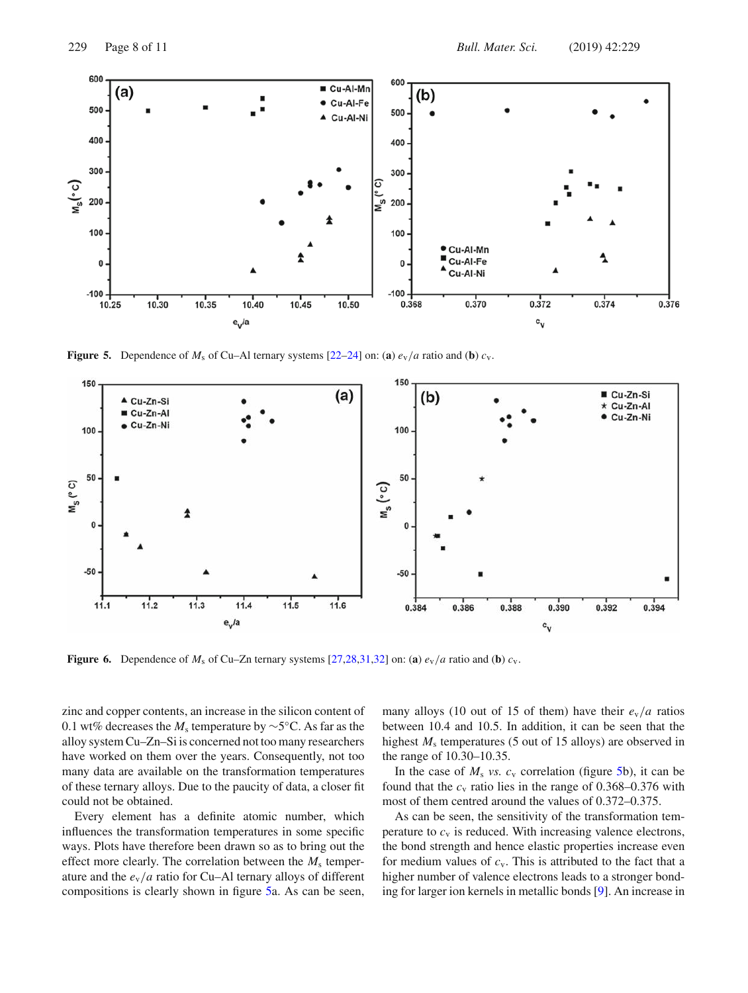

**Figure 5.** Dependence of  $M_s$  of Cu–Al ternary systems [22–24] on: (**a**)  $e_v/a$  ratio and (**b**)  $c_v$ .



**Figure 6.** Dependence of  $M_s$  of Cu–Zn ternary systems [27,28,31,32] on: (**a**)  $e_v/a$  ratio and (**b**)  $c_v$ .

zinc and copper contents, an increase in the silicon content of 0.1 wt% decreases the  $M_s$  temperature by  $\sim$ 5°C. As far as the alloy system Cu–Zn–Si is concerned not too many researchers have worked on them over the years. Consequently, not too many data are available on the transformation temperatures of these ternary alloys. Due to the paucity of data, a closer fit could not be obtained.

Every element has a definite atomic number, which influences the transformation temperatures in some specific ways. Plots have therefore been drawn so as to bring out the effect more clearly. The correlation between the  $M_s$  temperature and the  $e_v/a$  ratio for Cu–Al ternary alloys of different compositions is clearly shown in figure 5a. As can be seen, many alloys (10 out of 15 of them) have their  $e_y/a$  ratios between 10.4 and 10.5. In addition, it can be seen that the highest  $M_s$  temperatures (5 out of 15 alloys) are observed in the range of 10.30–10.35.

In the case of  $M_s$  *vs. c<sub>v</sub>* correlation (figure 5b), it can be found that the  $c_v$  ratio lies in the range of 0.368–0.376 with most of them centred around the values of 0.372–0.375.

As can be seen, the sensitivity of the transformation temperature to *c*<sup>v</sup> is reduced. With increasing valence electrons, the bond strength and hence elastic properties increase even for medium values of *c*v. This is attributed to the fact that a higher number of valence electrons leads to a stronger bonding for larger ion kernels in metallic bonds [9]. An increase in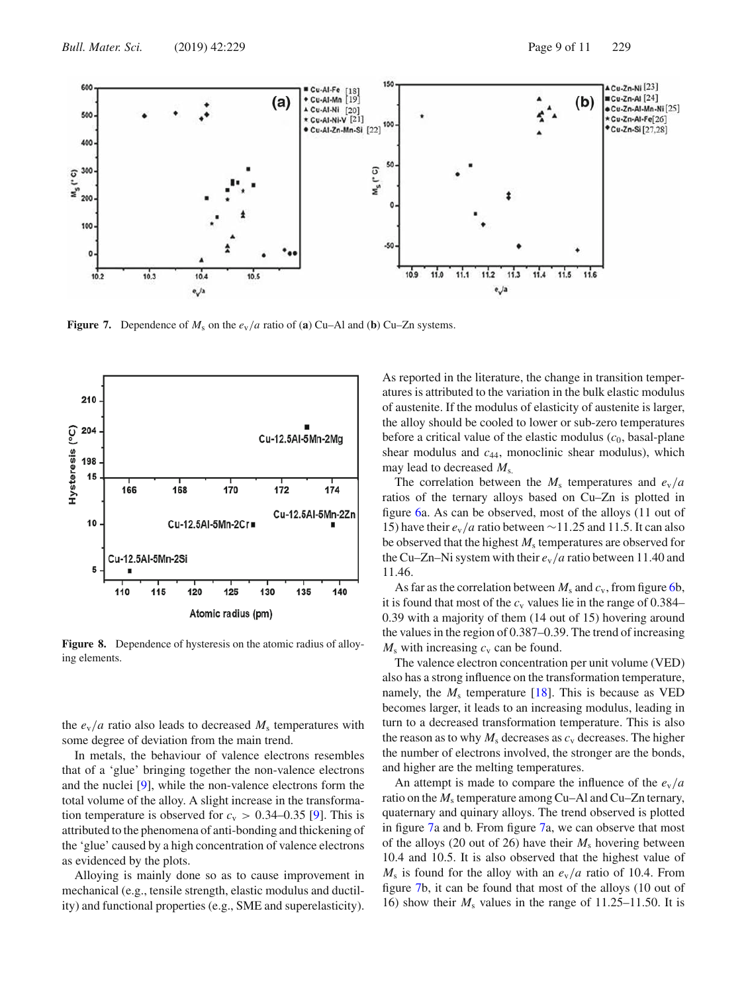

**Figure 7.** Dependence of  $M_s$  on the  $e_v/a$  ratio of (**a**) Cu–Al and (**b**) Cu–Zn systems.



**Figure 8.** Dependence of hysteresis on the atomic radius of alloying elements.

the  $e_y/a$  ratio also leads to decreased  $M_s$  temperatures with some degree of deviation from the main trend.

In metals, the behaviour of valence electrons resembles that of a 'glue' bringing together the non-valence electrons and the nuclei [9], while the non-valence electrons form the total volume of the alloy. A slight increase in the transformation temperature is observed for  $c_v > 0.34{\text{-}}0.35$  [9]. This is attributed to the phenomena of anti-bonding and thickening of the 'glue' caused by a high concentration of valence electrons as evidenced by the plots.

Alloying is mainly done so as to cause improvement in mechanical (e.g., tensile strength, elastic modulus and ductility) and functional properties (e.g., SME and superelasticity).

As reported in the literature, the change in transition temperatures is attributed to the variation in the bulk elastic modulus of austenite. If the modulus of elasticity of austenite is larger, the alloy should be cooled to lower or sub-zero temperatures before a critical value of the elastic modulus  $(c_0,$  basal-plane shear modulus and  $c_{44}$ , monoclinic shear modulus), which may lead to decreased *M*s.

The correlation between the  $M_s$  temperatures and  $e_v/a$ ratios of the ternary alloys based on Cu–Zn is plotted in figure 6a. As can be observed, most of the alloys (11 out of 15) have their *e*v/*a* ratio between ∼11.25 and 11.5. It can also be observed that the highest  $M_s$  temperatures are observed for the Cu–Zn–Ni system with their  $e_v/a$  ratio between 11.40 and 11.46.

As far as the correlation between  $M_s$  and  $c_v$ , from figure 6b, it is found that most of the  $c_v$  values lie in the range of 0.384– 0.39 with a majority of them (14 out of 15) hovering around the values in the region of 0.387–0.39. The trend of increasing  $M<sub>s</sub>$  with increasing  $c<sub>v</sub>$  can be found.

The valence electron concentration per unit volume (VED) also has a strong influence on the transformation temperature, namely, the  $M_s$  temperature [18]. This is because as VED becomes larger, it leads to an increasing modulus, leading in turn to a decreased transformation temperature. This is also the reason as to why  $M_s$  decreases as  $c_v$  decreases. The higher the number of electrons involved, the stronger are the bonds, and higher are the melting temperatures.

An attempt is made to compare the influence of the  $e_y/a$ ratio on the *M*<sup>s</sup> temperature among Cu–Al and Cu–Zn ternary, quaternary and quinary alloys. The trend observed is plotted in figure 7a and b. From figure 7a, we can observe that most of the alloys (20 out of 26) have their  $M_s$  hovering between 10.4 and 10.5. It is also observed that the highest value of  $M<sub>s</sub>$  is found for the alloy with an  $e<sub>v</sub>/a$  ratio of 10.4. From figure 7b, it can be found that most of the alloys (10 out of 16) show their  $M_s$  values in the range of 11.25–11.50. It is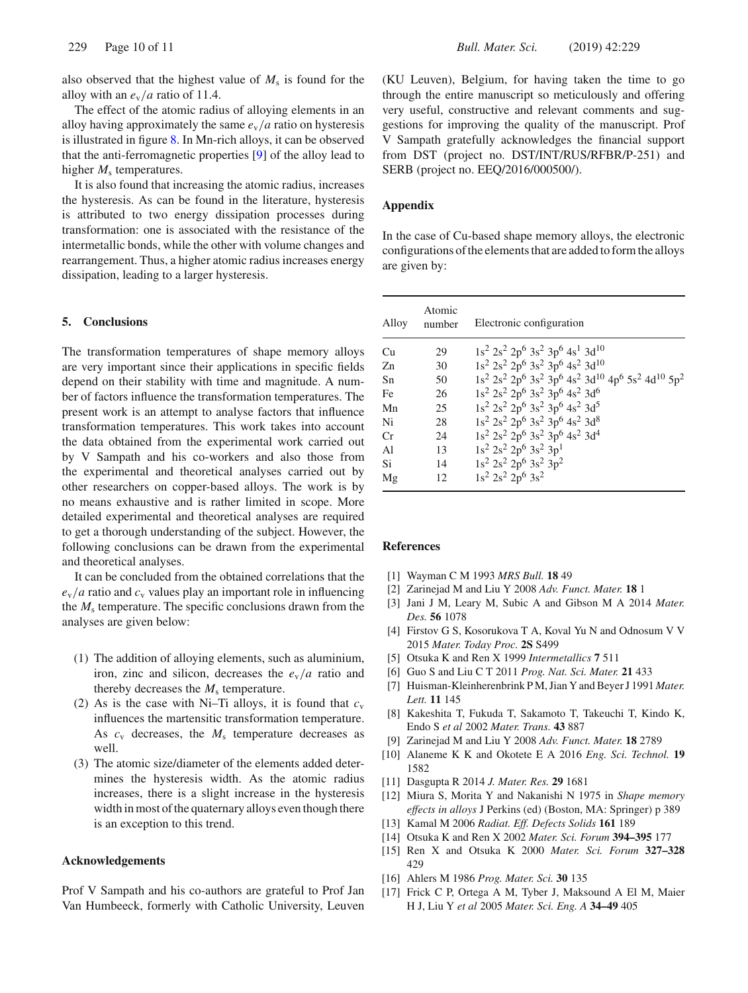also observed that the highest value of  $M<sub>s</sub>$  is found for the alloy with an  $e_v/a$  ratio of 11.4.

The effect of the atomic radius of alloying elements in an alloy having approximately the same  $e_v/a$  ratio on hysteresis is illustrated in figure 8. In Mn-rich alloys, it can be observed that the anti-ferromagnetic properties [9] of the alloy lead to higher  $M_s$  temperatures.

It is also found that increasing the atomic radius, increases the hysteresis. As can be found in the literature, hysteresis is attributed to two energy dissipation processes during transformation: one is associated with the resistance of the intermetallic bonds, while the other with volume changes and rearrangement. Thus, a higher atomic radius increases energy dissipation, leading to a larger hysteresis.

#### **5. Conclusions**

The transformation temperatures of shape memory alloys are very important since their applications in specific fields depend on their stability with time and magnitude. A number of factors influence the transformation temperatures. The present work is an attempt to analyse factors that influence transformation temperatures. This work takes into account the data obtained from the experimental work carried out by V Sampath and his co-workers and also those from the experimental and theoretical analyses carried out by other researchers on copper-based alloys. The work is by no means exhaustive and is rather limited in scope. More detailed experimental and theoretical analyses are required to get a thorough understanding of the subject. However, the following conclusions can be drawn from the experimental and theoretical analyses.

It can be concluded from the obtained correlations that the  $e_v/a$  ratio and  $c_v$  values play an important role in influencing the *M*<sup>s</sup> temperature. The specific conclusions drawn from the analyses are given below:

- (1) The addition of alloying elements, such as aluminium, iron, zinc and silicon, decreases the  $e_y/a$  ratio and thereby decreases the  $M_s$  temperature.
- (2) As is the case with Ni–Ti alloys, it is found that  $c_v$ influences the martensitic transformation temperature. As  $c_v$  decreases, the  $M_s$  temperature decreases as well.
- (3) The atomic size/diameter of the elements added determines the hysteresis width. As the atomic radius increases, there is a slight increase in the hysteresis width in most of the quaternary alloys even though there is an exception to this trend.

### **Acknowledgements**

Prof V Sampath and his co-authors are grateful to Prof Jan Van Humbeeck, formerly with Catholic University, Leuven (KU Leuven), Belgium, for having taken the time to go through the entire manuscript so meticulously and offering very useful, constructive and relevant comments and suggestions for improving the quality of the manuscript. Prof V Sampath gratefully acknowledges the financial support from DST (project no. DST/INT/RUS/RFBR/P-251) and SERB (project no. EEQ/2016/000500/).

### **Appendix**

In the case of Cu-based shape memory alloys, the electronic configurations of the elements that are added to form the alloys are given by:

| Alloy | Atomic<br>number | Electronic configuration                            |
|-------|------------------|-----------------------------------------------------|
| Cu    | 29               | $1s^2$ $2s^2$ $2p^6$ $3s^2$ $3p^6$ $4s^1$ $3d^{10}$ |
| Zn    | 30               | $1s^2$ $2s^2$ $2p^6$ $3s^2$ $3p^6$ $4s^2$ $3d^{10}$ |
| Sn    | 50               | $1s2 2s2 2p6 3s2 3p6 4s2 3d10 4p6 5s2 4d10 5p2$     |
| Fe    | 26               | $1s^2$ $2s^2$ $2p^6$ $3s^2$ $3p^6$ $4s^2$ $3d^6$    |
| Mn    | 25               | $1s^2$ $2s^2$ $2p^6$ $3s^2$ $3p^6$ $4s^2$ $3d^5$    |
| Ni    | 28               | $1s^2$ $2s^2$ $2p^6$ $3s^2$ $3p^6$ $4s^2$ $3d^8$    |
| Cr    | 24               | $1s^2$ $2s^2$ $2p^6$ $3s^2$ $3p^6$ $4s^2$ $3d^4$    |
| Al    | 13               | $1s^2$ $2s^2$ $2p^6$ $3s^2$ $3p^1$                  |
| Si    | 14               | $1s^2$ $2s^2$ $2p^6$ $3s^2$ $3p^2$                  |
| Μg    | 12               | $1s^2$ $2s^2$ $2p^6$ $3s^2$                         |

#### **References**

- [1] Wayman C M 1993 *MRS Bull.* **18** 49
- [2] Zarinejad M and Liu Y 2008 *Adv. Funct. Mater.* **18** 1
- [3] Jani J M, Leary M, Subic A and Gibson M A 2014 *Mater. Des.* **56** 1078
- [4] Firstov G S, Kosorukova T A, Koval Yu N and Odnosum V V 2015 *Mater. Today Proc.* **2S** S499
- [5] Otsuka K and Ren X 1999 *Intermetallics* **7** 511
- [6] Guo S and Liu C T 2011 *Prog. Nat. Sci. Mater.* **21** 433
- [7] Huisman-Kleinherenbrink P M, Jian Y and Beyer J 1991 *Mater. Lett.* **11** 145
- [8] Kakeshita T, Fukuda T, Sakamoto T, Takeuchi T, Kindo K, Endo S *et al* 2002 *Mater. Trans.* **43** 887
- [9] Zarinejad M and Liu Y 2008 *Adv. Funct. Mater.* **18** 2789
- [10] Alaneme K K and Okotete E A 2016 *Eng. Sci. Technol.* **19** 1582
- [11] Dasgupta R 2014 *J. Mater. Res.* **29** 1681
- [12] Miura S, Morita Y and Nakanishi N 1975 in *Shape memory effects in alloys* J Perkins (ed) (Boston, MA: Springer) p 389
- [13] Kamal M 2006 *Radiat. Eff. Defects Solids* **161** 189
- [14] Otsuka K and Ren X 2002 *Mater. Sci. Forum* **394–395** 177
- [15] Ren X and Otsuka K 2000 *Mater. Sci. Forum* **327–328** 429
- [16] Ahlers M 1986 *Prog. Mater. Sci.* **30** 135
- [17] Frick C P, Ortega A M, Tyber J, Maksound A El M, Maier H J, Liu Y *et al* 2005 *Mater. Sci. Eng. A* **34–49** 405